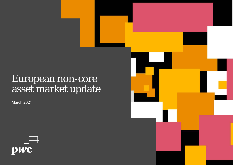# European non-core asset market update

March 2021



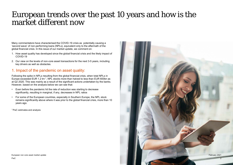Many commentators have characterised the COVID-19 crisis as potentially causing a 'second wave' of non-performing loans (NPLs), equivalent only to the aftermath of the global financial crisis. In this issue of our market update, we comment on:

- 1. How asset quality has developed since the global financial crisis and the likely impact of COVID-19
- 2. Our view on the levels of non-core asset transactions for the next 3-5 years, including key drivers as well as obstacles.

### 1. Impact of the pandemic on asset quality:

Following the spike in NPLs resulting from the global financial crisis, when total NPLs in Europe exceeded EUR 1.2 trn 1, NPL stocks more than halved to less than EUR 600bn as at Q2 2020. This was mainly as a result of the significant actions undertaken by the banks. However, based on the analysis below we can see that:

- Even before the pandemic hit the rate of reduction was starting to decrease significantly, resulting in marginal, if any, decreases in NPL ratios
- For some of the European countries, especially in Southern Europe, the NPL stock remains significantly above where it was prior to the global financial crisis, more than 10 years ago.

<sup>1</sup>PwC estimates and analysis

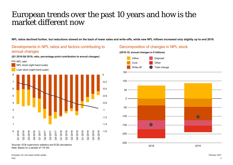**NPL ratios declined further, but reductions slowed on the back of lower sales and write-offs, while new NPL inflows increased only slightly up to end 2019.**

### Developments in NPL ratios and factors contributing to annual changes

**(Q1 2016-Q4 2019, ratio, percentage point contribution to annual changes)**



Sources: ECB supervisory statistics and ECB calculations Note: Based on a sample of 116 SIs

#### European non core asset market update February 2021

### Decomposition of changes in NPL stock

#### **(2018-19, annual changes in € billions)**

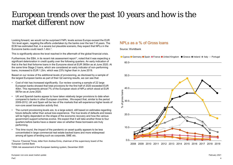Looking forward, we would not be surprised if NPL levels across Europe exceed the EUR 1trn level again, negating the efforts undertaken by the banks over the last 7-8 years. The ECB has estimated that, in a severe but plausible scenario, they expect that NPLs in the Eurozone banks could reach 1.4trn <sup>1</sup> .

This is significantly above the level reached in the aftermath of the global financial crisis.

Furthermore, the EBA, in its recent risk assessment report  $^2$ , noted that it was expecting a significant deterioration in credit quality over the following quarters. An early indication of that is the fact that forborne loans in the Eurozone stood at EUR 360bn as at June 2020. At the same time Stage 2 loans, which are considered an early indicator of non-performing loans, increased to EUR 1.2trn, which was 23% higher than in June 2019.

Based on our review of the additional levels of provisioning, as disclosed by a sample of the largest European banks as part of their Q2 earning results, we can see that:

- Cost of risk has increased significantly. Our review covering a sample of 22 large European banks showed that total provisions for the first half of 2020 exceeded EUR 40bn. This represents almost 7% of the European stock of NPLs which stood at EUR 587bn as at June 2020.
- UK and Spanish banks appear to have taken relatively larger provisions to date when compared to banks in other European countries.. We expect that, similar to the period 2009-2012, UK and Spain will be two of the markets that will experience higher levels of non-core asset transaction activity first.
- The current provisioning levels are, to a large extent, still based on estimates regarding future defaults rather than actual loss experience. The true levels of defaults and losses will be highly dependent on the shape of the economic recovery and how the various government support schemes evolve. We expect that it will take another three to four quarters before banks have a clearer view on whether these borrowers are truly performing.
- This time round, the impact of the pandemic on asset quality appears to be less concentrated in large commercial real estate backed loans and more widespread among all types of lending such as corporate, SME etc.

<sup>1</sup>Source: Financial Times, letter from Andrea Enria, chairman of the supervisory board of the European Central Bank

<sup>2</sup>EBA risk assessment of the European banking system, December 2020

### NPLs as a % of Gross loans

Source: Worldbank

● Cyprus ● Germany ● Spain ● France ● United Kingdom ● Greece ● Ireland ● Italy ● Portugal

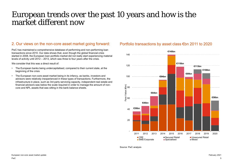### 2. Our views on the non-core asset market going forward: Portfolio transactions by asset class €bn 2011 to 2020

PwC has maintained a comprehensive database of performing and non-performing loan transactions since 2010. Our data shows that, even though the global financial crisis started in 2008, the European loan portfolio market did not really start experiencing material levels of activity until 2012 – 2013, which was three to four years after the crisis.

We consider that this was a direct result of:

- The European banks being undercapitalised, compared to their current state, at the beginning of the crisis
- The European non-core asset market being in its infancy, as banks, investors and advisors were relatively inexperienced in these types of transactions. Furthermore, the infrastructure in place, such as 3rd party servicing capacity, independent real estate and financial advisors was below the scale required in order to manage the amount of noncore and NPL assets that was sitting in the bank balance sheets.



Source: PwC analysis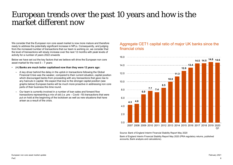We consider that the European non core asset market is now more mature and therefore ready to address the potentially significant increase in NPLs. Consequently, and judging from the increased number of transactions that our team is working on, we consider that the level of transactions will slowly increase over the next 12 months with peak levels of activity for a number of years 2022 onwards

Below we have set out the key factors that we believe will drive the European non core asset market for the next  $5 - 7$  vears:

- **(+) Banks are much better capitalised now than they were 12 years ago:** 
	- A key driver behind the delay in the uptick in transactions following the Global Financial Crisis was the weaker, compared to their current situation, capital position which discouraged banks from proceeding with any transactions that gave rise to any haircuts in capital. We expect that due to the stronger capital position (see graphs below) European banks will be much more proactive in addressing non core parts of their business this time round.
	- Our team is currently involved in a number of loan sales and forward flow transactions representing a mix of old (i.e. pre – Covid -19) transactions that were put on hold at the beginning of the lockdown as well as new situations that have arisen as a result of the crisis.

### Aggregate CET1 capital ratio of major UK banks since the financial crisis



Source: Bank of England Interim Financial Stability Report May 2020

Bank of England Interim Financial Stability Report May 2020 (PRA regulatory returns, published accounts, Bank analysis and calculations).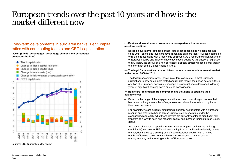### Long-term developments in euro area banks' Tier 1 capital ratios with contributing factors and CET1 capital ratios

**(2008-Q3 2019, percentages, percentage changes and percentage point contributions)**



#### • **(+) Banks and investors are now much more experienced in non-core asset transactions:**

- Based on our internal database of non-core asset transactions we estimate that, since 2011, banks and investors have transacted on more than 1,800 loan portfolios or related transactions with a face value of €850bn. As a result, a significant number of European banks and investors have developed extensive transactional expertise that will allow the pursuit of a non-core asset disposal strategy much quicker than in the aftermath of the Global Financial Crisis.
- **(+) The legal framework and market infrastructure is now much more mature that in the period 2008 to 2011:** 
	- The legal recovery framework (bankruptcy, foreclosure etc) in most European jurisdictions is now much more tested and reliable than in the period before 2008. In addition, the European servicing landscape is now much more developed following years of significant banking carve outs and consolidation.
- **(+) Banks are looking at more comprehensive solutions to optimise their balance sheet** 
	- Based on the range of the engagements that our team is working on we see that banks are looking at a number of ways, over and above loans sales, to optimise their balance sheets.
	- For example, we are currently discussing significant risk transfers with a number of medium and small size banks across Europe, usually operating under the standardised approach. All of these players are currently exploring significant risk transfers as a way to save and redeploy capital and increase their Return on Equity (RoE).
	- As a result of increased appetite from new investors (such as insurers and large credit funds) we see the SRT market changing from a traditionally relatively private market, dominated by a small group of specialist funds dealing with a limited number of issuing banks, to a much more widely accepted way of capital management by an increasing number of European banks.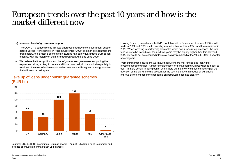#### • **(-) Increased level of government support:**

- The COVID-19 pandemic has initiated unprecedented levels of government support across Europe. For example, in August/September 2020, as it can be seen from the graph below, the largest 5 economies in Europe had partly guaranteed EUR 383bn of loans, with the majority of them granted between April and June 2020.
- We believe that the significant number of government guarantees supporting the exposures below, is likely to create additional complexity in the market especially in relation to the most effective way to collect any loans with a government guarantee that will become delinquent.

Looking forward, we estimate that NPL portfolios with a face value of around €150bn will trade in 2021 and 2022 – with probably around a third of this in 2021 and the remainder in 2022. When factoring in performing loan sales which occur for strategic reasons, the total face value to be traded over the next two years may be slightly higher than this. Beyond 2022 we would not be surprised if levels of activity remained at the 'plus €100bn' a year for several years.

From our market discussions we know that buyers are well funded and looking for investment opportunities. A major consideration for banks selling will be: when is it best to sell – is there benefit in going earlier when there will be lower volumes competing for the attention of the big funds who account for the vast majority of all trades or will pricing improve as the impact of the pandemic on borrowers becomes clearer?



Take up of loans under public guarantee schemes (EUR bn)

Sources: ECB,ECB, UK government, Data as at April – August (UK data is as at September and includes approved rather than taken up balances.)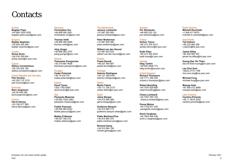### **Contacts**

#### Austria

**Bogdan Popa** +43 699 1630 5330 bogdan.petre.popa@pwc.com

#### **Bulgaria**

**Bojidar Neytchev** +35 929 355 288 bojidar.neytchev@pwc.com

#### **Croatia**

**Sinisa Dusic** +38 516 328 844 sinisa dusic@hr.pwc.com

### **Cyprus**

**Stelios Constantinou** +35 725 555 190 stelios.constantinou@pwc.com

#### Czech Republic and Slovakia **Petr Smutny** +42 025 115 1215

petr.smutny@pwc.com

#### **Denmark**

**Bent Jørgensen** +45 39 459 259 bent.jorgensen@pwc.com

#### **France**

**Hervé Demoy** +33 156 577 099 herve.demoy@pwc.com

#### **Germany**

**Christopher Sur** +49 699 585 2651 christopher.sur@pwc.com

**Thomas Veith** +49 699 585 5905 thomas.veith@pwc.com

**Jörg Jünger** +49 699 585 2707 joerg.juenger@pwc.com

#### Greece **Thanassis Panopoulos** +30 210 687 4628 thanassis.panopoulos@pwc.com

Hungary **Csaba Polacsek** +36 14 619 751 csaba.polacsek@pwc.com

#### Ireland **David Tynan** +353 1792 6582 david.tynan@ie.pwc.com

Italy **Pierpaolo Masenza** +39 065 7025 2483 pierpaolo.masenza@pwc.com

**Fedele Pascuzzi** +39 028 064 6323 fedele.pascuzzi@pwc.com

**Matteo D'Alessio** +39 027 785 272 matteo.dalessio@pwc.com

#### The Netherlands

**Jessica Lombardo** +31 887 925 060 jessica.lombardo@pwc.com

**Peter Wolterman** +31 887 925 080 peter.wolterman@pwc.com

**Wilbert van den Heuvel** +31 887 923 816 wilbert.van.den.heuvel@pwc.com

#### Poland

**Pawel Dzurak** +48 227 464 697 pawel.dzurak@pwc.com

**Portugal Antonio Rodrigues** +35 121 359 9181 antonio.rodrigues@pwc.com

#### **Serbia Marko Fabris**

+38 111 330 2137 marko.fabris@rs.pwc.com

#### **Spain**

**Jaime Bergaz** +34 915 684 589 jaime.bergaz@pwc.com

**Guillermo Barquin** +34 915 685 773 guillermo.barquin.orbea@pwc.com

**Pablo Martinez-Pina** +34 915 684 370 pablo.martinez-pina@pwc.com

**Richard Garey** +34 915 684 156 richard.garey@pwc.com

#### Sweden

**Per Storbacka**  +46 855 533 132 per.storbacka@pwc.com

#### **Turkey**

**Serkan Tamur** +90 212 376 5312 serkan.tarmur@tr.pwc.com

**Kadir Köse** +90 212 355 5323 kadir.kose@tr.pwc.com

#### Ukraine

**Oleg Tymkiv** +38 044 4906 773 oleg.tymkiv@ua.pwc.com

#### United Kingdom

**Richard Thompson** +44 7711 495 236 richard.c.thompson@pwc.com

**Robert Boulding** +44 7970 829 669 robert.boulding@pwc.com

**Chiara Lombardi** +44 7557 050 155 chiara.p.lombardi@pwc.com

**Panos Mizios** +44 7739 877 229 panagiotis.mizios@pwc.com

**Simin Varghese** +44 7803 456 036 simin.z.varghese@pwc.com

#### North America

**Mitchell Roschelle** +1 646 471 8070 mitchell.m.roschelle@pwc.com

#### Asia Pacific

**Ted Osborn** +85 222 892 299 t.osborn@hk.pwc.com

**James Dilley** +85 222 892 497 james.ha.dilley@hk.pwc.com

**Huong Dao Thi Thien** dao.thi.thien.huong@vn.pwc.com

**Lee Chui Sum** +60(3) 2173 1188 chui.sum.lee@my.pwc.com

**Michael Fung** michael.fung@au.pwc.com

**Masaya Kato** +81 906 512 4999 masaya.kato@pwc.com

#### Latin America

**Carolina Pimenta** +55 11 3674 2532 carolina.pimenta@pwc.com